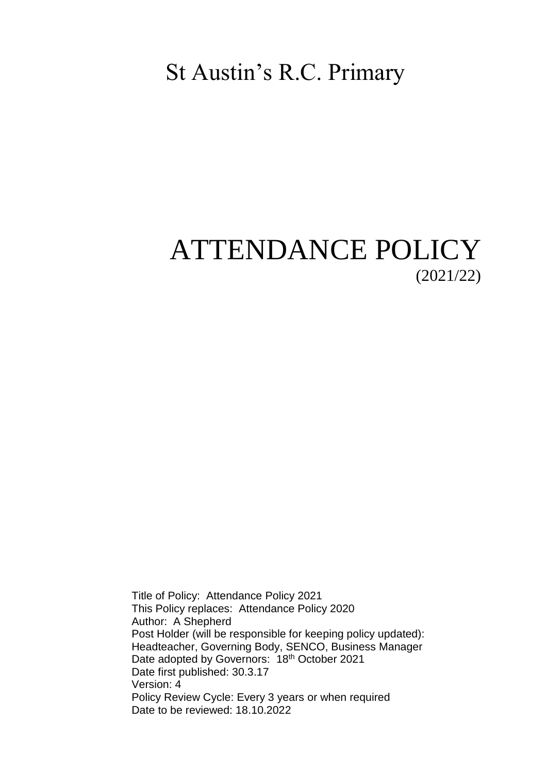# St Austin's R.C. Primary

# ATTENDANCE POLICY (2021/22)

Title of Policy: Attendance Policy 2021 This Policy replaces: Attendance Policy 2020 Author: A Shepherd Post Holder (will be responsible for keeping policy updated): Headteacher, Governing Body, SENCO, Business Manager Date adopted by Governors: 18<sup>th</sup> October 2021 Date first published: 30.3.17 Version: 4 Policy Review Cycle: Every 3 years or when required Date to be reviewed: 18.10.2022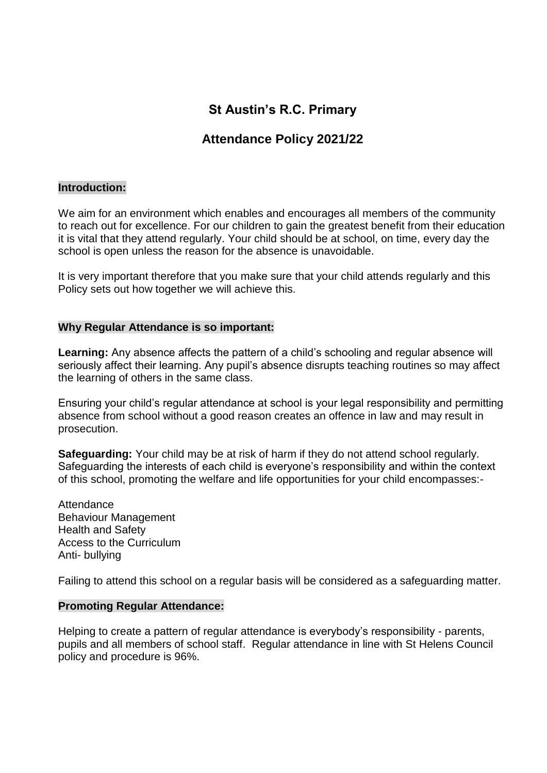# **St Austin's R.C. Primary**

# **Attendance Policy 2021/22**

### **Introduction:**

We aim for an environment which enables and encourages all members of the community to reach out for excellence. For our children to gain the greatest benefit from their education it is vital that they attend regularly. Your child should be at school, on time, every day the school is open unless the reason for the absence is unavoidable.

It is very important therefore that you make sure that your child attends regularly and this Policy sets out how together we will achieve this.

### **Why Regular Attendance is so important:**

**Learning:** Any absence affects the pattern of a child's schooling and regular absence will seriously affect their learning. Any pupil's absence disrupts teaching routines so may affect the learning of others in the same class.

Ensuring your child's regular attendance at school is your legal responsibility and permitting absence from school without a good reason creates an offence in law and may result in prosecution.

**Safeguarding:** Your child may be at risk of harm if they do not attend school regularly. Safeguarding the interests of each child is everyone's responsibility and within the context of this school, promoting the welfare and life opportunities for your child encompasses:-

Attendance Behaviour Management Health and Safety Access to the Curriculum Anti- bullying

Failing to attend this school on a regular basis will be considered as a safeguarding matter.

### **Promoting Regular Attendance:**

Helping to create a pattern of regular attendance is everybody's responsibility - parents, pupils and all members of school staff. Regular attendance in line with St Helens Council policy and procedure is 96%.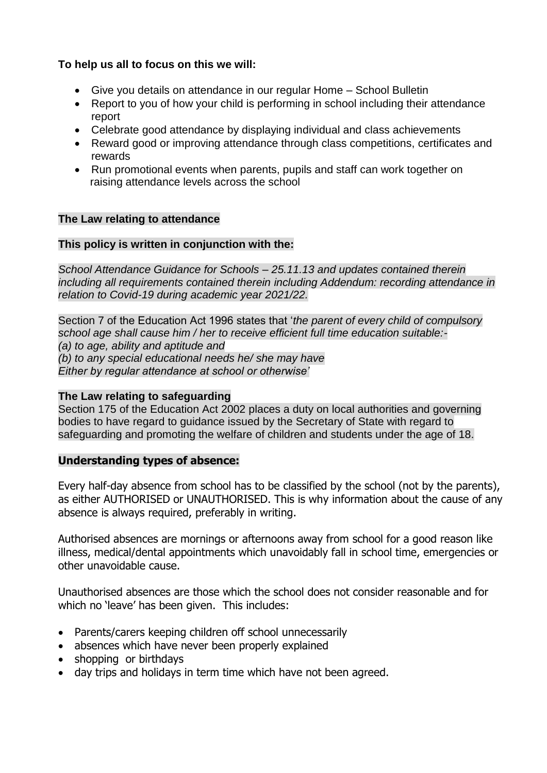# **To help us all to focus on this we will:**

- Give you details on attendance in our regular Home School Bulletin
- Report to you of how your child is performing in school including their attendance report
- Celebrate good attendance by displaying individual and class achievements
- Reward good or improving attendance through class competitions, certificates and rewards
- Run promotional events when parents, pupils and staff can work together on raising attendance levels across the school

# **The Law relating to attendance**

# **This policy is written in conjunction with the:**

*School Attendance Guidance for Schools – 25.11.13 and updates contained therein including all requirements contained therein including Addendum: recording attendance in relation to Covid-19 during academic year 2021/22.*

Section 7 of the Education Act 1996 states that '*the parent of every child of compulsory school age shall cause him / her to receive efficient full time education suitable:- (a) to age, ability and aptitude and (b) to any special educational needs he/ she may have Either by regular attendance at school or otherwise'*

### **The Law relating to safeguarding**

Section 175 of the Education Act 2002 places a duty on local authorities and governing bodies to have regard to guidance issued by the Secretary of State with regard to safeguarding and promoting the welfare of children and students under the age of 18.

### **Understanding types of absence:**

Every half-day absence from school has to be classified by the school (not by the parents), as either AUTHORISED or UNAUTHORISED. This is why information about the cause of any absence is always required, preferably in writing.

Authorised absences are mornings or afternoons away from school for a good reason like illness, medical/dental appointments which unavoidably fall in school time, emergencies or other unavoidable cause.

Unauthorised absences are those which the school does not consider reasonable and for which no 'leave' has been given. This includes:

- Parents/carers keeping children off school unnecessarily
- absences which have never been properly explained
- shopping or birthdays
- day trips and holidays in term time which have not been agreed.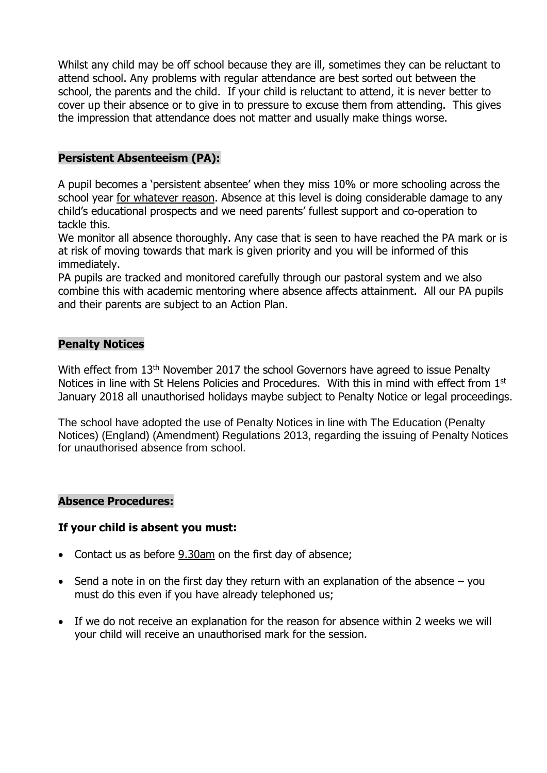Whilst any child may be off school because they are ill, sometimes they can be reluctant to attend school. Any problems with regular attendance are best sorted out between the school, the parents and the child. If your child is reluctant to attend, it is never better to cover up their absence or to give in to pressure to excuse them from attending. This gives the impression that attendance does not matter and usually make things worse.

# **Persistent Absenteeism (PA):**

A pupil becomes a 'persistent absentee' when they miss 10% or more schooling across the school year for whatever reason. Absence at this level is doing considerable damage to any child's educational prospects and we need parents' fullest support and co-operation to tackle this.

We monitor all absence thoroughly. Any case that is seen to have reached the PA mark or is at risk of moving towards that mark is given priority and you will be informed of this immediately.

PA pupils are tracked and monitored carefully through our pastoral system and we also combine this with academic mentoring where absence affects attainment. All our PA pupils and their parents are subject to an Action Plan.

# **Penalty Notices**

With effect from 13<sup>th</sup> November 2017 the school Governors have agreed to issue Penalty Notices in line with St Helens Policies and Procedures. With this in mind with effect from 1<sup>st</sup> January 2018 all unauthorised holidays maybe subject to Penalty Notice or legal proceedings.

The school have adopted the use of Penalty Notices in line with The Education (Penalty Notices) (England) (Amendment) Regulations 2013, regarding the issuing of Penalty Notices for unauthorised absence from school.

# **Absence Procedures:**

# **If your child is absent you must:**

- Contact us as before 9.30am on the first day of absence;
- Send a note in on the first day they return with an explanation of the absence  $-$  you must do this even if you have already telephoned us;
- If we do not receive an explanation for the reason for absence within 2 weeks we will your child will receive an unauthorised mark for the session.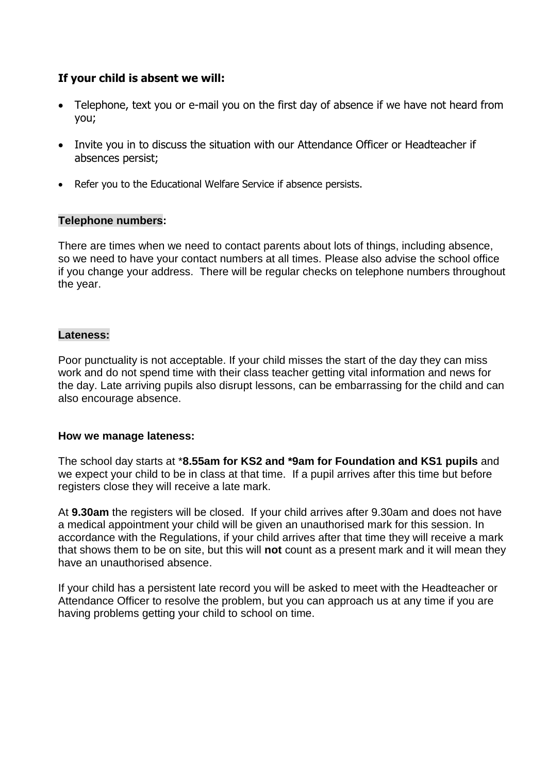# **If your child is absent we will:**

- Telephone, text you or e-mail you on the first day of absence if we have not heard from you;
- Invite you in to discuss the situation with our Attendance Officer or Headteacher if absences persist;
- Refer you to the Educational Welfare Service if absence persists.

### **Telephone numbers:**

There are times when we need to contact parents about lots of things, including absence, so we need to have your contact numbers at all times. Please also advise the school office if you change your address. There will be regular checks on telephone numbers throughout the year.

# **Lateness:**

Poor punctuality is not acceptable. If your child misses the start of the day they can miss work and do not spend time with their class teacher getting vital information and news for the day. Late arriving pupils also disrupt lessons, can be embarrassing for the child and can also encourage absence.

### **How we manage lateness:**

The school day starts at \***8.55am for KS2 and \*9am for Foundation and KS1 pupils** and we expect your child to be in class at that time. If a pupil arrives after this time but before registers close they will receive a late mark.

At **9.30am** the registers will be closed. If your child arrives after 9.30am and does not have a medical appointment your child will be given an unauthorised mark for this session. In accordance with the Regulations, if your child arrives after that time they will receive a mark that shows them to be on site, but this will **not** count as a present mark and it will mean they have an unauthorised absence.

If your child has a persistent late record you will be asked to meet with the Headteacher or Attendance Officer to resolve the problem, but you can approach us at any time if you are having problems getting your child to school on time.